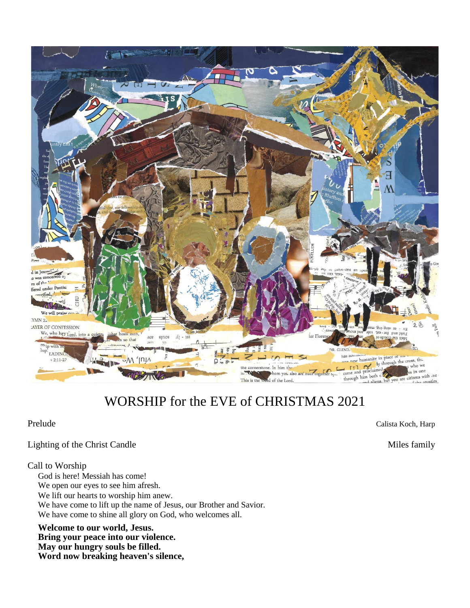

# WORSHIP for the EVE of CHRISTMAS 2021

Prelude Calista Koch, Harp

Lighting of the Christ Candle Miles family

## Call to Worship

God is here! Messiah has come! We open our eyes to see him afresh. We lift our hearts to worship him anew. We have come to lift up the name of Jesus, our Brother and Savior. We have come to shine all glory on God, who welcomes all.

**Welcome to our world, Jesus. Bring your peace into our violence. May our hungry souls be filled. Word now breaking heaven's silence,**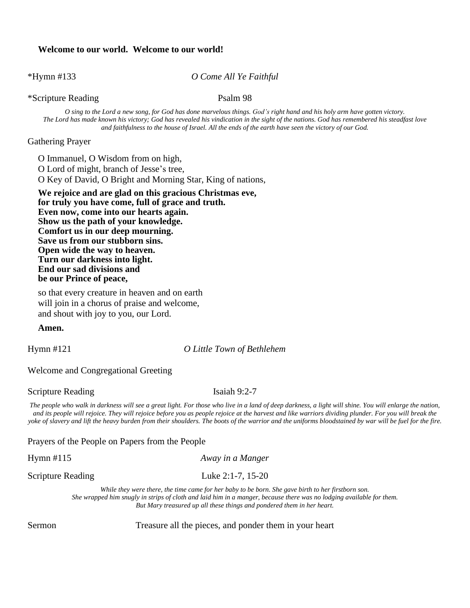### **Welcome to our world. Welcome to our world!**

\*Hymn #133 *O Come All Ye Faithful*

\*Scripture Reading Psalm 98

O sing to the Lord a new song, for God has done marvelous things. God's right hand and his holy arm have gotten victory. The Lord has made known his victory; God has revealed his vindication in the sight of the nations. God has remembered his steadfast love and faithfulness to the house of Israel. All the ends of the earth have seen the victory of our God.

## Gathering Prayer

O Immanuel, O Wisdom from on high, O Lord of might, branch of Jesse's tree, O Key of David, O Bright and Morning Star, King of nations,

**We rejoice and are glad on this gracious Christmas eve, for truly you have come, full of grace and truth. Even now, come into our hearts again. Show us the path of your knowledge. Comfort us in our deep mourning. Save us from our stubborn sins. Open wide the way to heaven. Turn our darkness into light. End our sad divisions and be our Prince of peace,**

so that every creature in heaven and on earth will join in a chorus of praise and welcome, and shout with joy to you, our Lord.

#### **Amen.**

Hymn #121 *O Little Town of Bethlehem*

Welcome and Congregational Greeting

Scripture Reading Isaiah 9:2-7

The people who walk in darkness will see a great light. For those who live in a land of deep darkness, a light will shine. You will enlarge the nation, and its people will rejoice. They will rejoice before you as people rejoice at the harvest and like warriors dividing plunder. For you will break the yoke of slavery and lift the heavy burden from their shoulders. The boots of the warrior and the uniforms bloodstained by war will be fuel for the fire.

Prayers of the People on Papers from the People

Hymn #115 *Away in a Manger*

Scripture Reading Luke 2:1-7, 15-20

While they were there, the time came for her baby to be born. She gave birth to her firstborn son. She wrapped him snugly in strips of cloth and laid him in a manger, because there was no lodging available for them. *But Mary treasured up all these things and pondered them in her heart.*

Sermon Treasure all the pieces, and ponder them in your heart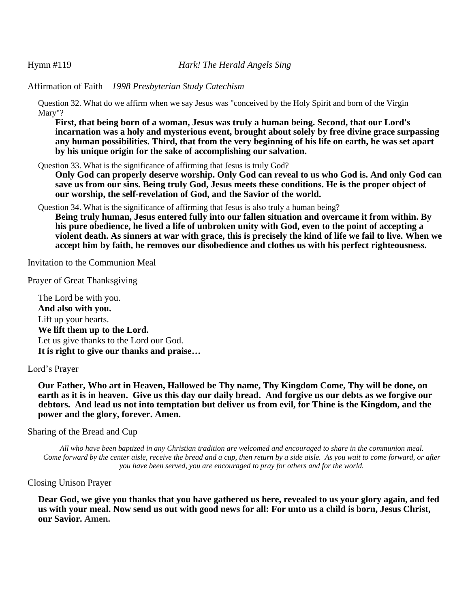Affirmation of Faith – *1998 Presbyterian Study Catechism*

Question 32. What do we affirm when we say Jesus was "conceived by the Holy Spirit and born of the Virgin Mary"?

**First, that being born of a woman, Jesus was truly a human being. Second, that our Lord's incarnation was a holy and mysterious event, brought about solely by free divine grace surpassing** any human possibilities. Third, that from the very beginning of his life on earth, he was set apart **by his unique origin for the sake of accomplishing our salvation.**

Question 33. What is the significance of affirming that Jesus is truly God?

Only God can properly deserve worship. Only God can reveal to us who God is. And only God can **save us from our sins. Being truly God, Jesus meets these conditions. He is the proper object of our worship, the self-revelation of God, and the Savior of the world.**

Question 34. What is the significance of affirming that Jesus is also truly a human being?

**Being truly human, Jesus entered fully into our fallen situation and overcame it from within. By** his pure obedience, he lived a life of unbroken unity with God, even to the point of accepting a violent death. As sinners at war with grace, this is precisely the kind of life we fail to live. When we **accept him by faith, he removes our disobedience and clothes us with his perfect righteousness.**

Invitation to the Communion Meal

Prayer of Great Thanksgiving

The Lord be with you. **And also with you.** Lift up your hearts. **We lift them up to the Lord.** Let us give thanks to the Lord our God. **It is right to give our thanks and praise…**

## Lord's Prayer

**Our Father, Who art in Heaven, Hallowed be Thy name, Thy Kingdom Come, Thy will be done, on** earth as it is in heaven. Give us this day our daily bread. And forgive us our debts as we forgive our debtors. And lead us not into temptation but deliver us from evil, for Thine is the Kingdom, and the **power and the glory, forever. Amen.**

## Sharing of the Bread and Cup

All who have been baptized in any Christian tradition are welcomed and encouraged to share in the communion meal. Come forward by the center aisle, receive the bread and a cup, then return by a side aisle. As you wait to come forward, or after *you have been served, you are encouraged to pray for others and for the world.*

## Closing Unison Prayer

Dear God, we give you thanks that you have gathered us here, revealed to us your glory again, and fed us with your meal. Now send us out with good news for all: For unto us a child is born, Jesus Christ, **our Savior. Amen.**